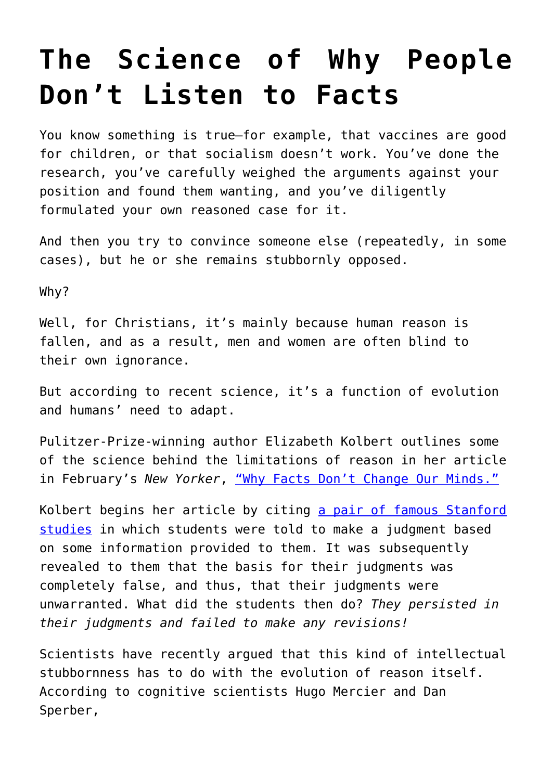## **[The Science of Why People](https://intellectualtakeout.org/2017/04/the-science-of-why-people-dont-listen-to-facts/) [Don't Listen to Facts](https://intellectualtakeout.org/2017/04/the-science-of-why-people-dont-listen-to-facts/)**

You know something is true—for example, that vaccines are good for children, or that socialism doesn't work. You've done the research, you've carefully weighed the arguments against your position and found them wanting, and you've diligently formulated your own reasoned case for it.

And then you try to convince someone else (repeatedly, in some cases), but he or she remains stubbornly opposed.

Why?

Well, for Christians, it's mainly because human reason is fallen, and as a result, men and women are often blind to their own ignorance.

But according to recent science, it's a function of evolution and humans' need to adapt.

Pulitzer-Prize-winning author Elizabeth Kolbert outlines some of the science behind the limitations of reason in her article in February's New Yorker, ["Why Facts Don't Change Our Minds."](http://www.newyorker.com/magazine/2017/02/27/why-facts-dont-change-our-minds)

Kolbert begins her article by citing [a pair of famous Stanford](https://www.nifc.gov/PUBLICATIONS/acc_invest_march2010/speakers/Belief%20Perseverance.pdf) [studies](https://www.nifc.gov/PUBLICATIONS/acc_invest_march2010/speakers/Belief%20Perseverance.pdf) in which students were told to make a judgment based on some information provided to them. It was subsequently revealed to them that the basis for their judgments was completely false, and thus, that their judgments were unwarranted. What did the students then do? *They persisted in their judgments and failed to make any revisions!*

Scientists have recently argued that this kind of intellectual stubbornness has to do with the evolution of reason itself. According to cognitive scientists Hugo Mercier and Dan Sperber,